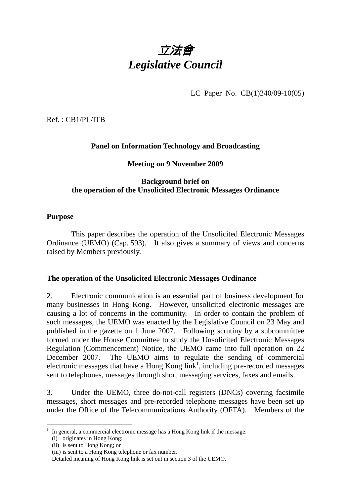

LC Paper No. CB(1)240/09-10(05)

Ref. : CB1/PL/ITB

# **Panel on Information Technology and Broadcasting**

#### **Meeting on 9 November 2009**

### **Background brief on the operation of the Unsolicited Electronic Messages Ordinance**

#### **Purpose**

 This paper describes the operation of the Unsolicited Electronic Messages Ordinance (UEMO) (Cap. 593). It also gives a summary of views and concerns raised by Members previously.

#### **The operation of the Unsolicited Electronic Messages Ordinance**

2. Electronic communication is an essential part of business development for many businesses in Hong Kong. However, unsolicited electronic messages are causing a lot of concerns in the community. In order to contain the problem of such messages, the UEMO was enacted by the Legislative Council on 23 May and published in the gazette on 1 June 2007. Following scrutiny by a subcommittee formed under the House Committee to study the Unsolicited Electronic Messages Regulation (Commencement) Notice, the UEMO came into full operation on 22 December 2007. The UEMO aims to regulate the sending of commercial electronic messages that have a Hong Kong  $link<sup>1</sup>$ , including pre-recorded messages sent to telephones, messages through short messaging services, faxes and emails.

3. Under the UEMO, three do-not-call registers (DNCs) covering facsimile messages, short messages and pre-recorded telephone messages have been set up under the Office of the Telecommunications Authority (OFTA). Members of the

 $\overline{a}$ 

<sup>1</sup> In general, a commercial electronic message has a Hong Kong link if the message:

<sup>(</sup>i) originates in Hong Kong;

<sup>(</sup>ii) is sent to Hong Kong; or

<sup>(</sup>iii) is sent to a Hong Kong telephone or fax number.

Detailed meaning of Hong Kong link is set out in section 3 of the UEMO.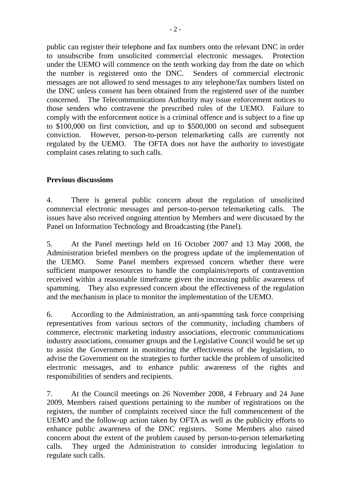public can register their telephone and fax numbers onto the relevant DNC in order to unsubscribe from unsolicited commercial electronic messages. Protection under the UEMO will commence on the tenth working day from the date on which the number is registered onto the DNC. Senders of commercial electronic messages are not allowed to send messages to any telephone/fax numbers listed on the DNC unless consent has been obtained from the registered user of the number concerned. The Telecommunications Authority may issue enforcement notices to those senders who contravene the prescribed rules of the UEMO. Failure to comply with the enforcement notice is a criminal offence and is subject to a fine up to \$100,000 on first conviction, and up to \$500,000 on second and subsequent conviction. However, person-to-person telemarketing calls are currently not regulated by the UEMO. The OFTA does not have the authority to investigate complaint cases relating to such calls.

# **Previous discussions**

4. There is general public concern about the regulation of unsolicited commercial electronic messages and person-to-person telemarketing calls. The issues have also received ongoing attention by Members and were discussed by the Panel on Information Technology and Broadcasting (the Panel).

5. At the Panel meetings held on 16 October 2007 and 13 May 2008, the Administration briefed members on the progress update of the implementation of the UEMO. Some Panel members expressed concern whether there were sufficient manpower resources to handle the complaints/reports of contravention received within a reasonable timeframe given the increasing public awareness of spamming. They also expressed concern about the effectiveness of the regulation and the mechanism in place to monitor the implementation of the UEMO.

6. According to the Administration, an anti-spamming task force comprising representatives from various sectors of the community, including chambers of commerce, electronic marketing industry associations, electronic communications industry associations, consumer groups and the Legislative Council would be set up to assist the Government in monitoring the effectiveness of the legislation, to advise the Government on the strategies to further tackle the problem of unsolicited electronic messages, and to enhance public awareness of the rights and responsibilities of senders and recipients.

7. At the Council meetings on 26 November 2008, 4 February and 24 June 2009, Members raised questions pertaining to the number of registrations on the registers, the number of complaints received since the full commencement of the UEMO and the follow-up action taken by OFTA as well as the publicity efforts to enhance public awareness of the DNC registers. Some Members also raised concern about the extent of the problem caused by person-to-person telemarketing calls. They urged the Administration to consider introducing legislation to regulate such calls.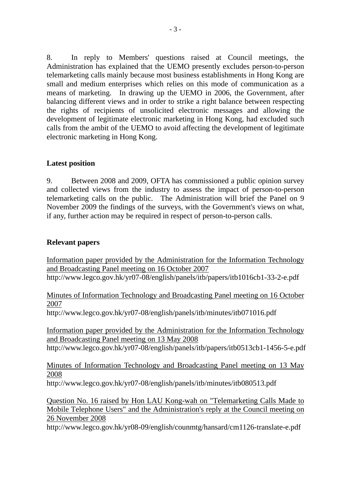8. In reply to Members' questions raised at Council meetings, the Administration has explained that the UEMO presently excludes person-to-person telemarketing calls mainly because most business establishments in Hong Kong are small and medium enterprises which relies on this mode of communication as a means of marketing. In drawing up the UEMO in 2006, the Government, after balancing different views and in order to strike a right balance between respecting the rights of recipients of unsolicited electronic messages and allowing the development of legitimate electronic marketing in Hong Kong, had excluded such calls from the ambit of the UEMO to avoid affecting the development of legitimate electronic marketing in Hong Kong.

## **Latest position**

9. Between 2008 and 2009, OFTA has commissioned a public opinion survey and collected views from the industry to assess the impact of person-to-person telemarketing calls on the public. The Administration will brief the Panel on 9 November 2009 the findings of the surveys, with the Government's views on what, if any, further action may be required in respect of person-to-person calls.

## **Relevant papers**

Information paper provided by the Administration for the Information Technology and Broadcasting Panel meeting on 16 October 2007 http://www.legco.gov.hk/yr07-08/english/panels/itb/papers/itb1016cb1-33-2-e.pdf

Minutes of Information Technology and Broadcasting Panel meeting on 16 October 2007

http://www.legco.gov.hk/yr07-08/english/panels/itb/minutes/itb071016.pdf

Information paper provided by the Administration for the Information Technology and Broadcasting Panel meeting on 13 May 2008

http://www.legco.gov.hk/yr07-08/english/panels/itb/papers/itb0513cb1-1456-5-e.pdf

Minutes of Information Technology and Broadcasting Panel meeting on 13 May 2008

http://www.legco.gov.hk/yr07-08/english/panels/itb/minutes/itb080513.pdf

Question No. 16 raised by Hon LAU Kong-wah on "Telemarketing Calls Made to Mobile Telephone Users" and the Administration's reply at the Council meeting on 26 November 2008

http://www.legco.gov.hk/yr08-09/english/counmtg/hansard/cm1126-translate-e.pdf